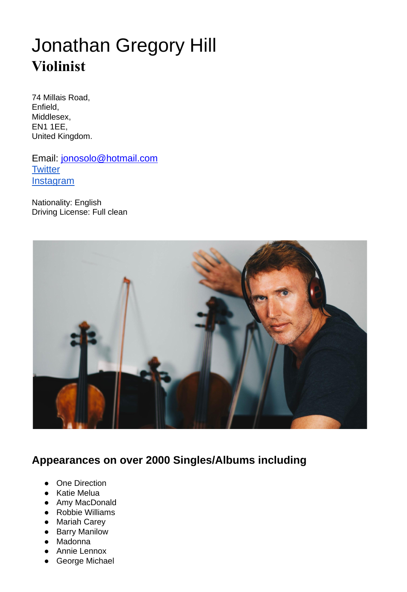# Jonathan Gregory Hill **Violinist**

74 Millais Road, Enfield, Middlesex, EN1 1EE, United Kingdom.

Email: [jonosolo@hotmail.com](mailto:jonosolo@hotmail.com) **[Twitter](https://twitter.com/hillfetz) [Instagram](https://www.instagram.com/jonathanhillviolin/)** 

Nationality: English Driving License: Full clean



## **Appearances on over 2000 Singles/Albums including**

- **One Direction**
- Katie Melua
- Amy MacDonald
- Robbie Williams
- Mariah Carey
- Barry Manilow
- Madonna
- Annie Lennox
- George Michael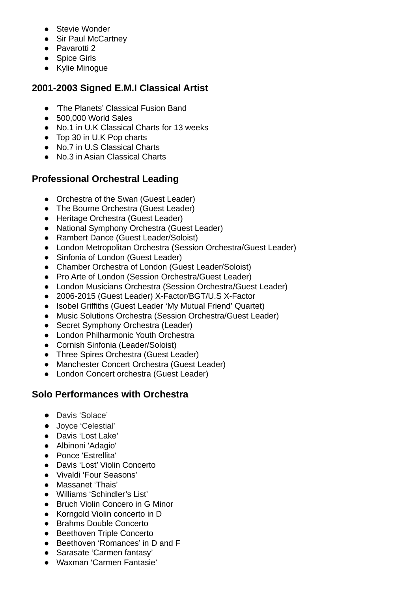- Stevie Wonder
- Sir Paul McCartney
- Pavarotti 2
- Spice Girls
- Kylie Minogue

#### **2001-2003 Signed E.M.I Classical Artist**

- 'The Planets' Classical Fusion Band
- 500,000 World Sales
- No.1 in U.K Classical Charts for 13 weeks
- Top 30 in U.K Pop charts
- No.7 in U.S Classical Charts
- No.3 in Asian Classical Charts

### **Professional Orchestral Leading**

- Orchestra of the Swan (Guest Leader)
- The Bourne Orchestra (Guest Leader)
- Heritage Orchestra (Guest Leader)
- National Symphony Orchestra (Guest Leader)
- Rambert Dance (Guest Leader/Soloist)
- London Metropolitan Orchestra (Session Orchestra/Guest Leader)
- Sinfonia of London (Guest Leader)
- Chamber Orchestra of London (Guest Leader/Soloist)
- Pro Arte of London (Session Orchestra/Guest Leader)
- London Musicians Orchestra (Session Orchestra/Guest Leader)
- 2006-2015 (Guest Leader) X-Factor/BGT/U.S X-Factor
- Isobel Griffiths (Guest Leader 'My Mutual Friend' Quartet)
- Music Solutions Orchestra (Session Orchestra/Guest Leader)
- Secret Symphony Orchestra (Leader)
- London Philharmonic Youth Orchestra
- Cornish Sinfonia (Leader/Soloist)
- Three Spires Orchestra (Guest Leader)
- Manchester Concert Orchestra (Guest Leader)
- London Concert orchestra (Guest Leader)

#### **Solo Performances with Orchestra**

- Davis 'Solace'
- Joyce 'Celestial'
- Davis 'Lost Lake'
- Albinoni 'Adagio'
- Ponce 'Estrellita'
- Davis 'Lost' Violin Concerto
- Vivaldi 'Four Seasons'
- Massanet 'Thais'
- Williams 'Schindler's List'
- Bruch Violin Concero in G Minor
- Korngold Violin concerto in D
- Brahms Double Concerto
- Beethoven Triple Concerto
- Beethoven 'Romances' in D and F
- Sarasate 'Carmen fantasy'
- Waxman 'Carmen Fantasie'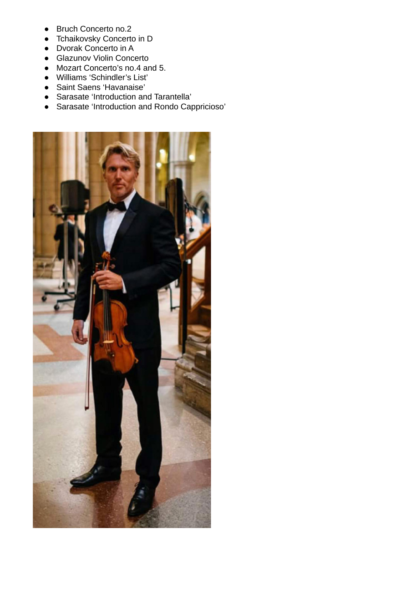- Bruch Concerto no.2
- Tchaikovsky Concerto in D
- Dvorak Concerto in A
- Glazunov Violin Concerto
- Mozart Concerto's no.4 and 5.
- Williams 'Schindler's List'
- Saint Saens 'Havanaise'
- Sarasate 'Introduction and Tarantella'
- Sarasate 'Introduction and Rondo Cappricioso'

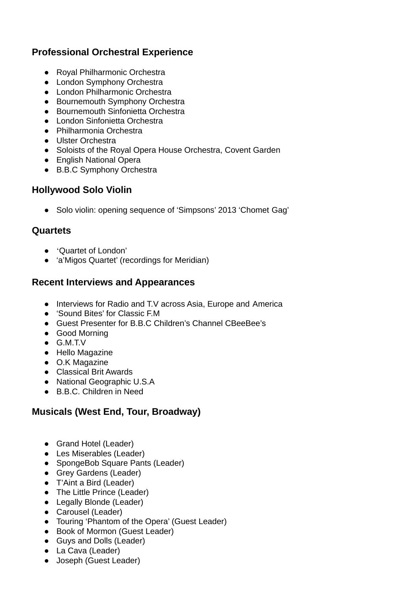#### **Professional Orchestral Experience**

- Royal Philharmonic Orchestra
- London Symphony Orchestra
- London Philharmonic Orchestra
- Bournemouth Symphony Orchestra
- Bournemouth Sinfonietta Orchestra
- London Sinfonietta Orchestra
- Philharmonia Orchestra
- Ulster Orchestra
- Soloists of the Royal Opera House Orchestra, Covent Garden
- English National Opera
- B.B.C Symphony Orchestra

#### **Hollywood Solo Violin**

● Solo violin: opening sequence of 'Simpsons' 2013 'Chomet Gag'

## **Quartets**

- 'Quartet of London'
- 'a'Migos Quartet' (recordings for Meridian)

#### **Recent Interviews and Appearances**

- Interviews for Radio and T.V across Asia, Europe and America
- 'Sound Bites' for Classic F.M
- Guest Presenter for B.B.C Children's Channel CBeeBee's
- Good Morning
- G.M.T.V
- Hello Magazine
- O.K Magazine
- Classical Brit Awards
- National Geographic U.S.A
- B.B.C. Children in Need

## **Musicals (West End, Tour, Broadway)**

- Grand Hotel (Leader)
- Les Miserables (Leader)
- SpongeBob Square Pants (Leader)
- Grey Gardens (Leader)
- T'Aint a Bird (Leader)
- The Little Prince (Leader)
- Legally Blonde (Leader)
- Carousel (Leader)
- Touring 'Phantom of the Opera' (Guest Leader)
- Book of Mormon (Guest Leader)
- Guys and Dolls (Leader)
- La Cava (Leader)
- Joseph (Guest Leader)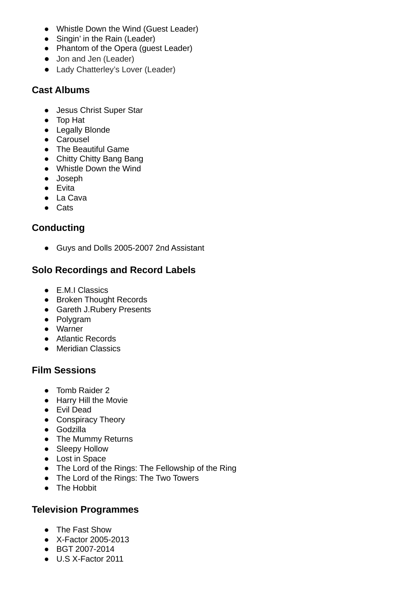- Whistle Down the Wind (Guest Leader)
- Singin' in the Rain (Leader)
- Phantom of the Opera (guest Leader)
- Jon and Jen (Leader)
- Lady Chatterley's Lover (Leader)

#### **Cast Albums**

- Jesus Christ Super Star
- Top Hat
- Legally Blonde
- Carousel
- The Beautiful Game
- Chitty Chitty Bang Bang
- Whistle Down the Wind
- Joseph
- Evita
- La Cava
- Cats

#### **Conducting**

● Guys and Dolls 2005-2007 2nd Assistant

#### **Solo Recordings and Record Labels**

- E.M.I Classics
- Broken Thought Records
- Gareth J.Rubery Presents
- Polygram
- Warner
- Atlantic Records
- Meridian Classics

#### **Film Sessions**

- Tomb Raider 2
- Harry Hill the Movie
- Evil Dead
- Conspiracy Theory
- Godzilla
- The Mummy Returns
- Sleepy Hollow
- Lost in Space
- The Lord of the Rings: The Fellowship of the Ring
- The Lord of the Rings: The Two Towers
- The Hobbit

#### **Television Programmes**

- The Fast Show
- X-Factor 2005-2013
- BGT 2007-2014
- U.S X-Factor 2011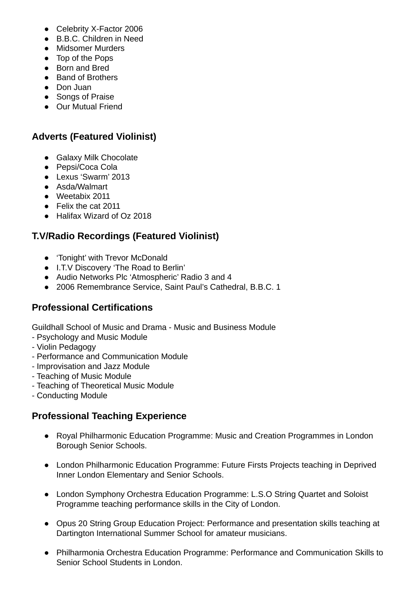- Celebrity X-Factor 2006
- B.B.C. Children in Need
- Midsomer Murders
- Top of the Pops
- Born and Bred
- Band of Brothers
- Don Juan
- Songs of Praise
- Our Mutual Friend

## **Adverts (Featured Violinist)**

- Galaxy Milk Chocolate
- Pepsi/Coca Cola
- Lexus 'Swarm' 2013
- Asda/Walmart
- Weetabix 2011
- Felix the cat 2011
- Halifax Wizard of Oz 2018

## **T.V/Radio Recordings (Featured Violinist)**

- 'Tonight' with Trevor McDonald
- I.T.V Discovery 'The Road to Berlin'
- Audio Networks Plc 'Atmospheric' Radio 3 and 4
- 2006 Remembrance Service, Saint Paul's Cathedral, B.B.C. 1

#### **Professional Certifications**

Guildhall School of Music and Drama - Music and Business Module

- Psychology and Music Module
- Violin Pedagogy
- Performance and Communication Module
- Improvisation and Jazz Module
- Teaching of Music Module
- Teaching of Theoretical Music Module
- Conducting Module

## **Professional Teaching Experience**

- Royal Philharmonic Education Programme: Music and Creation Programmes in London Borough Senior Schools.
- London Philharmonic Education Programme: Future Firsts Projects teaching in Deprived Inner London Elementary and Senior Schools.
- London Symphony Orchestra Education Programme: L.S.O String Quartet and Soloist Programme teaching performance skills in the City of London.
- Opus 20 String Group Education Project: Performance and presentation skills teaching at Dartington International Summer School for amateur musicians.
- Philharmonia Orchestra Education Programme: Performance and Communication Skills to Senior School Students in London.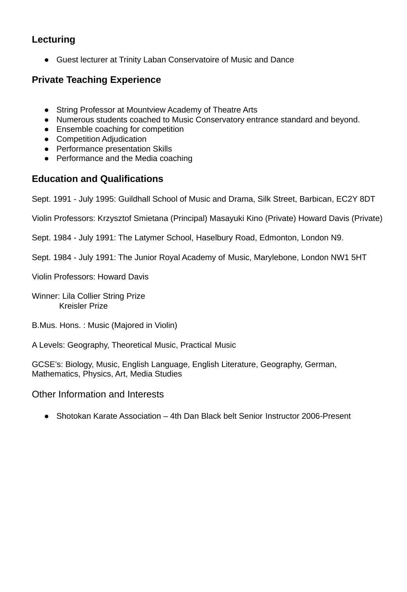#### **Lecturing**

● Guest lecturer at Trinity Laban Conservatoire of Music and Dance

#### **Private Teaching Experience**

- String Professor at Mountview Academy of Theatre Arts
- Numerous students coached to Music Conservatory entrance standard and beyond.
- Ensemble coaching for competition
- Competition Adjudication
- Performance presentation Skills
- Performance and the Media coaching

#### **Education and Qualifications**

Sept. 1991 - July 1995: Guildhall School of Music and Drama, Silk Street, Barbican, EC2Y 8DT

Violin Professors: Krzysztof Smietana (Principal) Masayuki Kino (Private) Howard Davis (Private)

Sept. 1984 - July 1991: The Latymer School, Haselbury Road, Edmonton, London N9.

Sept. 1984 - July 1991: The Junior Royal Academy of Music, Marylebone, London NW1 5HT

Violin Professors: Howard Davis

Winner: Lila Collier String Prize Kreisler Prize

B.Mus. Hons. : Music (Majored in Violin)

A Levels: Geography, Theoretical Music, Practical Music

GCSE's: Biology, Music, English Language, English Literature, Geography, German, Mathematics, Physics, Art, Media Studies

Other Information and Interests

● Shotokan Karate Association – 4th Dan Black belt Senior Instructor 2006-Present